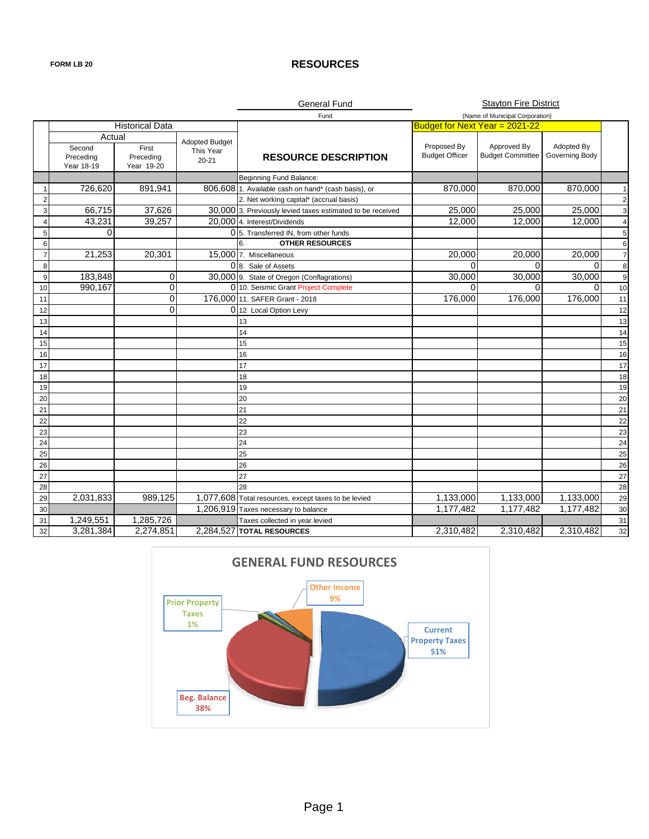### **FORM LB 20 RESOURCES**

|                |                                             |                                  |                                                 | <b>General Fund</b>                                        |                                      | <b>Stayton Fire District</b>           |                              |                         |
|----------------|---------------------------------------------|----------------------------------|-------------------------------------------------|------------------------------------------------------------|--------------------------------------|----------------------------------------|------------------------------|-------------------------|
|                |                                             |                                  |                                                 | Fund                                                       |                                      | (Name of Municipal Corporation)        |                              |                         |
|                |                                             | <b>Historical Data</b>           |                                                 |                                                            | Budget for Next Year = 2021-22       |                                        |                              |                         |
|                | Actual<br>Second<br>Preceding<br>Year 18-19 | First<br>Preceding<br>Year 19-20 | <b>Adopted Budget</b><br>This Year<br>$20 - 21$ | <b>RESOURCE DESCRIPTION</b>                                | Proposed By<br><b>Budget Officer</b> | Approved By<br><b>Budget Committee</b> | Adopted By<br>Governing Body |                         |
|                |                                             |                                  |                                                 | Beginning Fund Balance:                                    |                                      |                                        |                              |                         |
| -1             | 726,620                                     | 891,941                          |                                                 | 806,608 1. Available cash on hand* (cash basis), or        | 870,000                              | 870,000                                | 870,000                      | $\mathbf{1}$            |
| $\overline{2}$ |                                             |                                  |                                                 | 2. Net working capital* (accrual basis)                    |                                      |                                        |                              | $\overline{\mathbf{c}}$ |
| 3              | 66,715                                      | 37,626                           |                                                 | 30,000 3. Previously levied taxes estimated to be received | 25,000                               | 25,000                                 | 25,000                       | 3                       |
| $\overline{4}$ | 43,231                                      | 39,257                           |                                                 | 20,000 4. Interest/Dividends                               | 12,000                               | 12,000                                 | 12,000                       | $\overline{4}$          |
| 5              | $\Omega$                                    |                                  |                                                 | 0 <sub>5</sub> . Transferred IN, from other funds          |                                      |                                        |                              | 5                       |
| 6              |                                             |                                  |                                                 | <b>OTHER RESOURCES</b><br>6                                |                                      |                                        |                              | 6                       |
| $\overline{7}$ | 21,253                                      | 20,301                           |                                                 | 15,000 7. Miscellaneous                                    | 20,000                               | 20,000                                 | 20,000                       | $\overline{7}$          |
| 8              |                                             |                                  |                                                 | 0 8. Sale of Assets                                        | $\Omega$                             | $\Omega$                               | O                            | 8                       |
| 9              | 183,848                                     | 0                                |                                                 | 30,000 9. State of Oregon (Conflagrations)                 | 30,000                               | 30,000                                 | 30,000                       | 9                       |
| 10             | 990,167                                     | 0                                |                                                 | 0 10. Seismic Grant Project Complete                       | 0                                    | $\Omega$                               | $\Omega$                     | 10                      |
| 11             |                                             | 0                                |                                                 | 176,000 11. SAFER Grant - 2018                             | 176,000                              | 176,000                                | 176,000                      | 11                      |
| 12             |                                             | $\mathbf{0}$                     |                                                 | 0 12 Local Option Levy                                     |                                      |                                        |                              | 12                      |
| 13             |                                             |                                  |                                                 | 13                                                         |                                      |                                        |                              | 13                      |
| 14             |                                             |                                  |                                                 | 14                                                         |                                      |                                        |                              | 14                      |
| 15             |                                             |                                  |                                                 | 15                                                         |                                      |                                        |                              | 15                      |
| 16             |                                             |                                  |                                                 | 16                                                         |                                      |                                        |                              | 16                      |
| 17             |                                             |                                  |                                                 | 17                                                         |                                      |                                        |                              | 17                      |
| 18             |                                             |                                  |                                                 | 18                                                         |                                      |                                        |                              | 18                      |
| 19             |                                             |                                  |                                                 | 19                                                         |                                      |                                        |                              | 19                      |
| 20             |                                             |                                  |                                                 | 20                                                         |                                      |                                        |                              | 20                      |
| 21             |                                             |                                  |                                                 | 21                                                         |                                      |                                        |                              | 21                      |
| 22             |                                             |                                  |                                                 | 22                                                         |                                      |                                        |                              | 22                      |
| 23             |                                             |                                  |                                                 | 23                                                         |                                      |                                        |                              | 23                      |
| 24             |                                             |                                  |                                                 | 24                                                         |                                      |                                        |                              | 24                      |
| 25             |                                             |                                  |                                                 | 25                                                         |                                      |                                        |                              | 25                      |
| 26             |                                             |                                  |                                                 | 26                                                         |                                      |                                        |                              | 26                      |
| 27             |                                             |                                  |                                                 | 27                                                         |                                      |                                        |                              | 27                      |
| 28             |                                             |                                  |                                                 | 28                                                         |                                      |                                        |                              | 28                      |
| 29             | 2,031,833                                   | 989,125                          |                                                 | 1,077,608 Total resources, except taxes to be levied       | 1,133,000                            | 1,133,000                              | 1,133,000                    | 29                      |
| 30             |                                             |                                  |                                                 | 1,206,919 Taxes necessary to balance                       | 1,177,482                            | 1,177,482                              | 1,177,482                    | 30                      |
| 31             | 1,249,551                                   | 1,285,726                        |                                                 | Taxes collected in year levied                             |                                      |                                        |                              | 31                      |
| 32             | 3,281,384                                   | 2,274,851                        |                                                 | 2,284,527 TOTAL RESOURCES                                  | 2,310,482                            | 2,310,482                              | 2,310,482                    | 32                      |

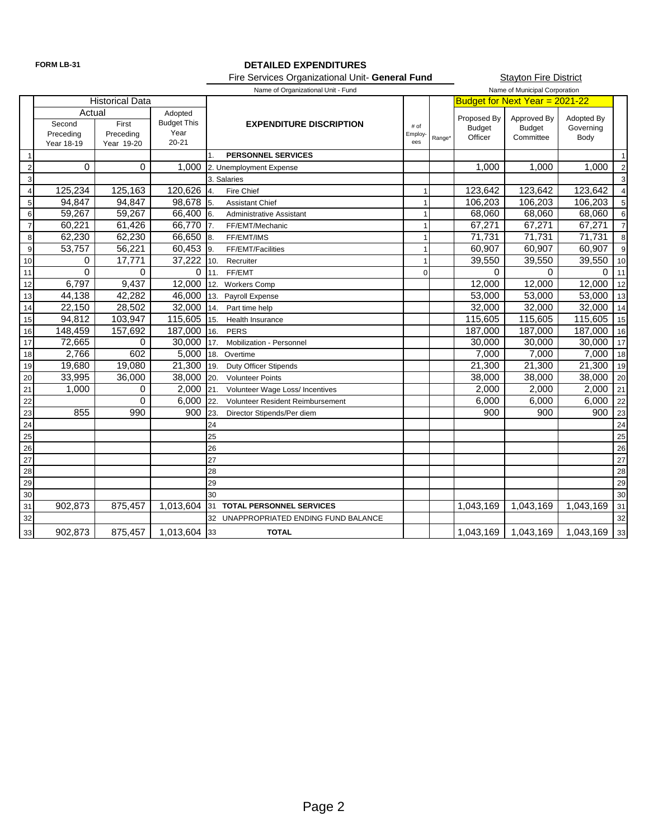### **FORM LB-31 DETAILED EXPENDITURES** Fire Services Organizational Unit- **General Fund**

**Stayton Fire District** 

|                 |            |                        |                    | Name of Organizational Unit - Fund      |                      |        | Name of Municipal Corporation |                                |            |                |
|-----------------|------------|------------------------|--------------------|-----------------------------------------|----------------------|--------|-------------------------------|--------------------------------|------------|----------------|
|                 |            | <b>Historical Data</b> |                    |                                         |                      |        |                               | Budget for Next Year = 2021-22 |            |                |
|                 | Actual     |                        | Adopted            |                                         |                      |        | Proposed By                   | Approved By                    | Adopted By |                |
|                 | Second     | First                  | <b>Budget This</b> | <b>EXPENDITURE DISCRIPTION</b>          | # of                 |        | <b>Budget</b>                 | <b>Budget</b>                  | Governing  |                |
|                 | Preceding  | Preceding              | Year<br>$20 - 21$  |                                         | <b>Employ</b><br>ees | Range* | Officer                       | Committee                      | Body       |                |
|                 | Year 18-19 | Year 19-20             |                    |                                         |                      |        |                               |                                |            |                |
|                 |            |                        |                    | <b>PERSONNEL SERVICES</b>               |                      |        |                               |                                |            | $\mathbf{1}$   |
| $\overline{c}$  | 0          | 0                      | 1,000              | 2. Unemployment Expense                 |                      |        | 1,000                         | 1,000                          | 1,000      | $\overline{2}$ |
| $\overline{3}$  |            |                        |                    | 3. Salaries                             |                      |        |                               |                                |            | 3              |
| $\overline{4}$  | 125,234    | 125,163                | 120,626 4.         | Fire Chief                              |                      |        | 123.642                       | 123,642                        | 123,642    | $\overline{4}$ |
| 5               | 94,847     | 94,847                 | 98,678 5.          | <b>Assistant Chief</b>                  |                      |        | 106,203                       | 106,203                        | 106,203    | 5              |
| 6               | 59,267     | 59,267                 | 66,400 6.          | <b>Administrative Assistant</b>         |                      |        | 68,060                        | 68,060                         | 68,060     | 6              |
| $\overline{7}$  | 60,221     | 61,426                 | 66,770 7.          | FF/EMT/Mechanic                         |                      |        | 67,271                        | 67,271                         | 67,271     | $\overline{7}$ |
| 8               | 62,230     | 62,230                 | 66,650             | $\vert$ 8.<br>FF/EMT/IMS                |                      |        | 71,731                        | 71,731                         | 71,731     | 8              |
| 9               | 53,757     | 56,221                 | 60,453             | <b>I</b> 9.<br>FF/EMT/Facilities        |                      |        | 60,907                        | 60,907                         | 60,907     | 9              |
| 10              | 0          | 17,771                 | 37,222             | 10.<br>Recruiter                        |                      |        | 39,550                        | 39,550                         | 39,550     | 10             |
| 11              | $\Omega$   | 0                      |                    | $0 \mid 11.$<br>FF/EMT                  | $\Omega$             |        | $\Omega$                      | $\Omega$                       | 0          | 11             |
| 12              | 6,797      | 9,437                  | 12,000             | 12.<br><b>Workers Comp</b>              |                      |        | 12,000                        | 12.000                         | 12,000     | 12             |
| 13              | 44,138     | 42,282                 | 46,000             | 13.<br>Payroll Expense                  |                      |        | 53,000                        | 53,000                         | 53,000     | 13             |
| 14              | 22,150     | 28,502                 | 32,000             | 14.<br>Part time help                   |                      |        | 32,000                        | 32,000                         | 32,000     | 14             |
| 15              | 94,812     | 103,947                | 115,605            | 15.<br>Health Insurance                 |                      |        | 115,605                       | 115,605                        | 115,605    | 15             |
| 16              | 148,459    | 157,692                | 187,000            | 16.<br><b>PERS</b>                      |                      |        | 187,000                       | 187,000                        | 187,000    | 16             |
| $\overline{17}$ | 72,665     | 0                      | 30,000             | 17.<br>Mobilization - Personnel         |                      |        | 30.000                        | 30,000                         | 30,000     | 17             |
| 18              | 2,766      | 602                    | 5,000              | 18.<br>Overtime                         |                      |        | 7,000                         | 7,000                          | 7,000      | 18             |
| 19              | 19,680     | 19,080                 | 21,300             | 19.<br><b>Duty Officer Stipends</b>     |                      |        | 21,300                        | 21,300                         | 21,300     | 19             |
| 20              | 33,995     | 36,000                 | 38,000             | 20.<br><b>Volunteer Points</b>          |                      |        | 38,000                        | 38,000                         | 38,000     | 20             |
| 21              | 1,000      | 0                      | 2,000              | 21.<br>Volunteer Wage Loss/ Incentives  |                      |        | 2,000                         | 2,000                          | 2,000      | 21             |
| 22              |            | 0                      | 6,000              | 22.<br>Volunteer Resident Reimbursement |                      |        | 6,000                         | 6,000                          | 6,000      | 22             |
| 23              | 855        | 990                    | 900                | 23.<br>Director Stipends/Per diem       |                      |        | 900                           | 900                            | 900        | 23             |
| 24              |            |                        |                    | 24                                      |                      |        |                               |                                |            | 24             |
| 25              |            |                        |                    | 25                                      |                      |        |                               |                                |            | 25             |
| 26              |            |                        |                    | 26                                      |                      |        |                               |                                |            | 26             |
| $\overline{27}$ |            |                        |                    | 27                                      |                      |        |                               |                                |            | 27             |
| 28              |            |                        |                    | 28                                      |                      |        |                               |                                |            | 28             |
| 29              |            |                        |                    | 29                                      |                      |        |                               |                                |            | 29             |
| 30              |            |                        |                    | 30                                      |                      |        |                               |                                |            | 30             |
| 31              | 902,873    | 875,457                | 1,013,604          | 31 TOTAL PERSONNEL SERVICES             |                      |        | 1,043,169                     | 1,043,169                      | 1,043,169  | 31             |
| 32              |            |                        |                    | 32 UNAPPROPRIATED ENDING FUND BALANCE   |                      |        |                               |                                |            | 32             |
| 33              | 902,873    | 875,457                | 1,013,604 33       | <b>TOTAL</b>                            |                      |        | 1,043,169                     | 1,043,169                      | 1,043,169  | 33             |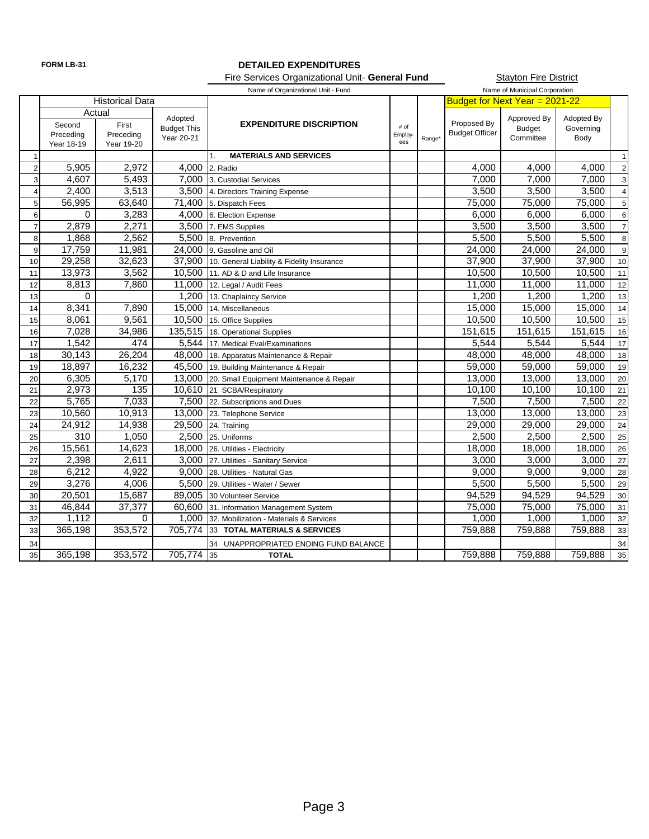# **FORM LB-31 DETAILED EXPENDITURES**

Stayton Fire District Fire Services Organizational Unit- **General Fund**

|                |            |                        |                    | Name of Municipal Corporation<br>Name of Organizational Unit - Fund |                |        |                                |               |            |                |
|----------------|------------|------------------------|--------------------|---------------------------------------------------------------------|----------------|--------|--------------------------------|---------------|------------|----------------|
|                |            | <b>Historical Data</b> |                    |                                                                     |                |        | Budget for Next Year = 2021-22 |               |            |                |
|                |            | Actual                 | Adopted            |                                                                     |                |        |                                | Approved By   | Adopted By |                |
|                | Second     | First                  | <b>Budget This</b> | <b>EXPENDITURE DISCRIPTION</b>                                      | # of           |        | Proposed By                    | <b>Budget</b> | Governing  |                |
|                | Preceding  | Preceding              | Year 20-21         |                                                                     | Employ-<br>ees | Range* | <b>Budget Officer</b>          | Committee     | Body       |                |
| $\mathbf 1$    | Year 18-19 | Year 19-20             |                    | <b>MATERIALS AND SERVICES</b><br>1.                                 |                |        |                                |               |            | $\overline{1}$ |
| $\overline{2}$ | 5,905      | 2,972                  | 4,000              | 2. Radio                                                            |                |        | 4,000                          | 4,000         | 4.000      | $\overline{c}$ |
|                | 4,607      | 5,493                  |                    | 7.000 3. Custodial Services                                         |                |        | 7,000                          | 7,000         | 7.000      |                |
| $\overline{3}$ |            | 3,513                  |                    |                                                                     |                |        |                                | 3,500         | 3,500      | 3              |
| $\overline{4}$ | 2,400      |                        |                    | 3,500 4. Directors Training Expense                                 |                |        | 3,500                          |               |            | $\overline{4}$ |
| 5 <sup>1</sup> | 56,995     | 63,640                 | 71.400             | 5. Dispatch Fees                                                    |                |        | 75,000                         | 75,000        | 75,000     | 5              |
| 6              | $\Omega$   | 3,283                  |                    | 4,000 6. Election Expense                                           |                |        | 6,000                          | 6,000         | 6,000      | 6              |
| $\overline{7}$ | 2,879      | 2,271                  | 3,500              | 7. EMS Supplies                                                     |                |        | 3,500                          | 3,500         | 3,500      | $\overline{7}$ |
| 8              | 1,868      | 2,562                  | 5.500              | 8. Prevention                                                       |                |        | 5,500                          | 5,500         | 5,500      | 8              |
| 9              | 17,759     | 11,981                 | 24,000             | 9. Gasoline and Oil                                                 |                |        | 24,000                         | 24,000        | 24,000     | $9\,$          |
| 10             | 29,258     | 32,623                 | 37,900             | 10. General Liability & Fidelity Insurance                          |                |        | 37,900                         | 37,900        | 37,900     | $10$           |
| 11             | 13,973     | 3,562                  | 10.500             | 11. AD & D and Life Insurance                                       |                |        | 10,500                         | 10,500        | 10,500     | 11             |
| 12             | 8,813      | 7,860                  | 11.000             | 12. Legal / Audit Fees                                              |                |        | 11,000                         | 11,000        | 11,000     | 12             |
| 13             | $\Omega$   |                        | 1,200              | 13. Chaplaincy Service                                              |                |        | 1,200                          | 1,200         | 1,200      | 13             |
| 14             | 8,341      | 7,890                  | 15,000             | 14. Miscellaneous                                                   |                |        | 15,000                         | 15,000        | 15,000     | 14             |
| 15             | 8,061      | 9,561                  | 10,500             | 15. Office Supplies                                                 |                |        | 10,500                         | 10,500        | 10,500     | 15             |
| 16             | 7,028      | 34,986                 |                    | 135,515 16. Operational Supplies                                    |                |        | 151,615                        | 151,615       | 151,615    | 16             |
| 17             | 1,542      | 474                    |                    | 5,544 17. Medical Eval/Examinations                                 |                |        | 5,544                          | 5,544         | 5,544      | 17             |
| 18             | 30,143     | 26,204                 | 48,000             | 18. Apparatus Maintenance & Repair                                  |                |        | 48,000                         | 48,000        | 48,000     | 18             |
| 19             | 18,897     | 16,232                 | 45,500             | 19. Building Maintenance & Repair                                   |                |        | 59,000                         | 59,000        | 59,000     | 19             |
| 20             | 6,305      | 5,170                  | 13,000             | 20. Small Equipment Maintenance & Repair                            |                |        | 13,000                         | 13,000        | 13,000     | $20\,$         |
| 21             | 2,973      | $\overline{135}$       | 10,610             | 21 SCBA/Respiratory                                                 |                |        | 10,100                         | 10,100        | 10,100     | 21             |
| 22             | 5,765      | 7,033                  | 7,500              | 22. Subscriptions and Dues                                          |                |        | 7,500                          | 7,500         | 7,500      | 22             |
| 23             | 10,560     | 10,913                 | 13,000             | 23. Telephone Service                                               |                |        | 13,000                         | 13,000        | 13,000     | 23             |
| 24             | 24,912     | 14,938                 | 29,500             | 24. Training                                                        |                |        | 29,000                         | 29,000        | 29,000     | 24             |
| 25             | 310        | 1,050                  | 2,500              | 25. Uniforms                                                        |                |        | 2,500                          | 2,500         | 2,500      | 25             |
| 26             | 15,561     | 14,623                 | 18,000             | 26. Utilities - Electricity                                         |                |        | 18,000                         | 18,000        | 18,000     | 26             |
| 27             | 2,398      | 2,611                  | 3,000              | 27. Utilities - Sanitary Service                                    |                |        | 3,000                          | 3,000         | 3,000      | 27             |
| 28             | 6,212      | 4,922                  | 9,000              | 28. Utilities - Natural Gas                                         |                |        | 9,000                          | 9,000         | 9,000      | 28             |
| 29             | 3,276      | 4,006                  | 5,500              | 29. Utilities - Water / Sewer                                       |                |        | 5,500                          | 5,500         | 5,500      | 29             |
| 30             | 20,501     | 15,687                 | 89,005             | 30 Volunteer Service                                                |                |        | 94,529                         | 94,529        | 94,529     | 30             |
| 31             | 46,844     | 37,377                 | 60,600             | 31. Information Management System                                   |                |        | 75,000                         | 75,000        | 75,000     | 31             |
| 32             | 1,112      | 0                      | 1,000              | 32. Mobilization - Materials & Services                             |                |        | 1,000                          | 1,000         | 1,000      | 32             |
| 33             | 365,198    | 353,572                | 705,774            | 33 TOTAL MATERIALS & SERVICES                                       |                |        | 759,888                        | 759,888       | 759,888    | 33             |
| 34             |            |                        |                    | 34 UNAPPROPRIATED ENDING FUND BALANCE                               |                |        |                                |               |            | 34             |
| 35             | 365,198    | 353,572                | 705,774 35         | <b>TOTAL</b>                                                        |                |        | 759,888                        | 759,888       | 759,888    | 35             |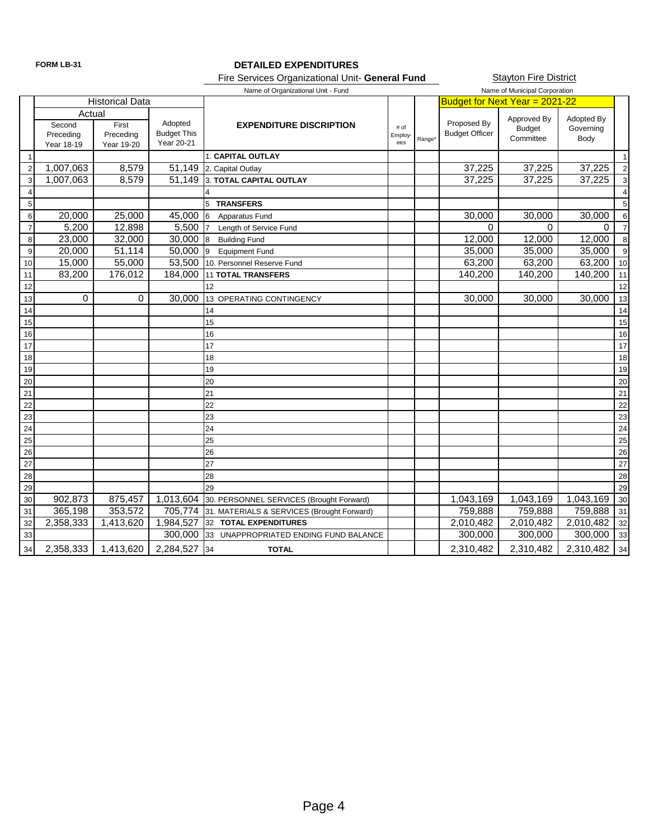### **FORM LB-31 DETAILED EXPENDITURES**

Fire Services Organizational Unit- **General Fund**

**Stayton Fire District** 

|                       |                                             |                                  |                                             | Name of Organizational Unit - Fund         |                           |        |                                      | Name of Municipal Corporation             |                                 |                |
|-----------------------|---------------------------------------------|----------------------------------|---------------------------------------------|--------------------------------------------|---------------------------|--------|--------------------------------------|-------------------------------------------|---------------------------------|----------------|
|                       |                                             | <b>Historical Data</b>           |                                             |                                            |                           |        | Budget for Next Year = 2021-22       |                                           |                                 |                |
|                       | Actual<br>Second<br>Preceding<br>Year 18-19 | First<br>Preceding<br>Year 19-20 | Adopted<br><b>Budget This</b><br>Year 20-21 | <b>EXPENDITURE DISCRIPTION</b>             | $\#$ of<br>Employ-<br>ees | Range* | Proposed By<br><b>Budget Officer</b> | Approved By<br><b>Budget</b><br>Committee | Adopted By<br>Governing<br>Body |                |
| $\overline{1}$        |                                             |                                  |                                             | 1. CAPITAL OUTLAY                          |                           |        |                                      |                                           |                                 | $\overline{1}$ |
| $\overline{2}$        | 1,007,063                                   | 8,579                            | 51,149                                      | 2. Capital Outlay                          |                           |        | 37,225                               | 37,225                                    | 37,225                          | $\overline{2}$ |
| 3                     | 1,007,063                                   | 8,579                            | 51,149                                      | 3. TOTAL CAPITAL OUTLAY                    |                           |        | 37,225                               | 37,225                                    | 37,225                          | 3              |
| $\overline{4}$        |                                             |                                  |                                             |                                            |                           |        |                                      |                                           |                                 | $\overline{4}$ |
| 5                     |                                             |                                  |                                             | 5 TRANSFERS                                |                           |        |                                      |                                           |                                 | 5              |
| $\,6$                 | 20,000                                      | 25,000                           | 45,000                                      | 6<br>Apparatus Fund                        |                           |        | 30,000                               | 30,000                                    | 30,000                          | 6              |
| $\overline{7}$        | 5,200                                       | 12,898                           | 5,500                                       | Length of Service Fund                     |                           |        | $\Omega$                             | $\Omega$                                  | 0                               | $\overline{7}$ |
| 8                     | 23,000                                      | 32,000                           | 30,000                                      | 8<br><b>Building Fund</b>                  |                           |        | 12,000                               | 12,000                                    | 12,000                          | 8              |
| $\overline{9}$        | 20,000                                      | 51,114                           | 50,000                                      | <b>Equipment Fund</b><br>9                 |                           |        | 35,000                               | 35,000                                    | 35,000                          | 9              |
| 10                    | 15,000                                      | 55,000                           | 53,500                                      | 10. Personnel Reserve Fund                 |                           |        | 63.200                               | 63,200                                    | 63,200                          | 10             |
| 11                    | 83,200                                      | 176,012                          | 184,000                                     | <b>11 TOTAL TRANSFERS</b>                  |                           |        | 140,200                              | 140,200                                   | 140,200                         | 11             |
| 12                    |                                             |                                  |                                             | 12                                         |                           |        |                                      |                                           |                                 | 12             |
| 13                    | 0                                           | 0                                | 30,000                                      | 13<br>OPERATING CONTINGENCY                |                           |        | 30,000                               | 30,000                                    | 30,000                          | 13             |
| 14                    |                                             |                                  |                                             | 14                                         |                           |        |                                      |                                           |                                 | 14             |
| 15                    |                                             |                                  |                                             | 15                                         |                           |        |                                      |                                           |                                 | 15             |
| 16                    |                                             |                                  |                                             | 16                                         |                           |        |                                      |                                           |                                 | 16             |
| 17                    |                                             |                                  |                                             | 17                                         |                           |        |                                      |                                           |                                 | 17             |
| 18                    |                                             |                                  |                                             | 18                                         |                           |        |                                      |                                           |                                 | 18             |
| 19                    |                                             |                                  |                                             | 19                                         |                           |        |                                      |                                           |                                 | 19             |
| 20                    |                                             |                                  |                                             | 20                                         |                           |        |                                      |                                           |                                 | 20             |
| 21                    |                                             |                                  |                                             | 21                                         |                           |        |                                      |                                           |                                 | 21             |
| 22                    |                                             |                                  |                                             | 22                                         |                           |        |                                      |                                           |                                 | 22             |
| 23                    |                                             |                                  |                                             | 23                                         |                           |        |                                      |                                           |                                 | 23             |
| 24                    |                                             |                                  |                                             | 24                                         |                           |        |                                      |                                           |                                 | 24             |
| 25                    |                                             |                                  |                                             | 25<br>26                                   |                           |        |                                      |                                           |                                 | 25             |
| $\overline{26}$<br>27 |                                             |                                  |                                             | 27                                         |                           |        |                                      |                                           |                                 | 26             |
|                       |                                             |                                  |                                             | 28                                         |                           |        |                                      |                                           |                                 | 27             |
| 28                    |                                             |                                  |                                             | 29                                         |                           |        |                                      |                                           |                                 | 28             |
| 29<br>30              | 902,873                                     | 875,457                          | 1,013,604                                   | 30. PERSONNEL SERVICES (Brought Forward)   |                           |        | 1,043,169                            | 1,043,169                                 | 1,043,169                       | 29<br>30       |
| 31                    | 365,198                                     | 353,572                          | 705,774                                     | 31. MATERIALS & SERVICES (Brought Forward) |                           |        | 759,888                              | 759,888                                   | 759,888                         | 31             |
| 32                    | 2,358,333                                   | 1,413,620                        | 1,984,527                                   | 32 TOTAL EXPENDITURES                      |                           |        | 2,010,482                            | 2,010,482                                 | 2,010,482                       | 32             |
| 33                    |                                             |                                  | 300,000                                     | 33 UNAPPROPRIATED ENDING FUND BALANCE      |                           |        | 300,000                              | 300,000                                   | 300,000                         | 33             |
| 34                    | 2,358,333                                   | 1,413,620                        | 2,284,527                                   | 34<br><b>TOTAL</b>                         |                           |        | 2,310,482                            | 2,310,482                                 | 2,310,482                       | 34             |
|                       |                                             |                                  |                                             |                                            |                           |        |                                      |                                           |                                 |                |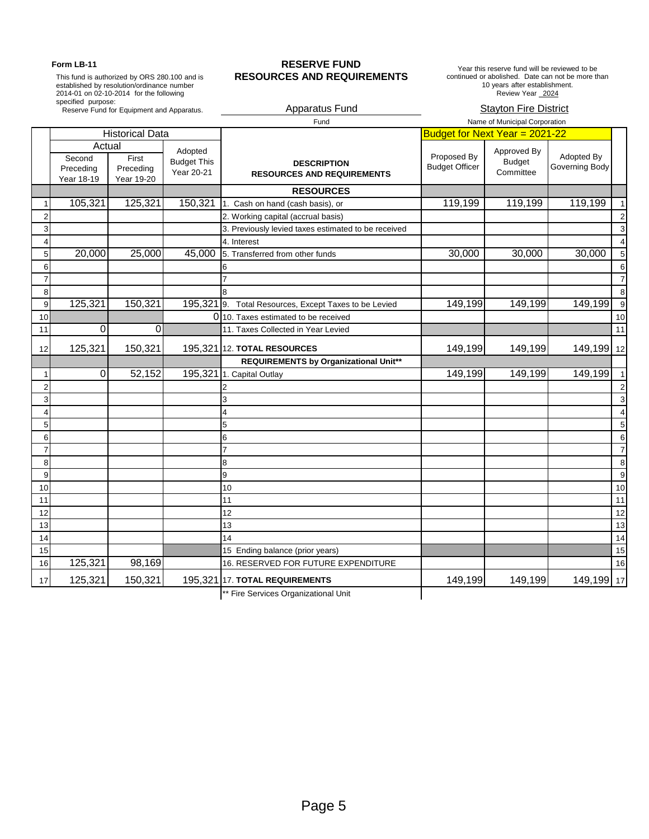This fund is authorized by ORS 280.100 and is established by resolution/ordinance number 2014-01 on 02-10-2014 for the following specified purpose: Reserve Fund for Equipment and Apparatus.

### Form LB-11 **RESERVE FUND RESOURCES AND REQUIREMENTS**

Year this reserve fund will be reviewed to be continued or abolished. Date can not be more than 10 years after establishment. Review Year 2024

### Apparatus Fund Stayton Fire District

|                         |                                             |                                  |                                             | Fund                                                    |                                      | Name of Municipal Corporation             |                              |                |
|-------------------------|---------------------------------------------|----------------------------------|---------------------------------------------|---------------------------------------------------------|--------------------------------------|-------------------------------------------|------------------------------|----------------|
|                         |                                             | <b>Historical Data</b>           |                                             |                                                         | Budget for Next Year = 2021-22       |                                           |                              |                |
|                         | Actual<br>Second<br>Preceding<br>Year 18-19 | First<br>Preceding<br>Year 19-20 | Adopted<br><b>Budget This</b><br>Year 20-21 | <b>DESCRIPTION</b><br><b>RESOURCES AND REQUIREMENTS</b> | Proposed By<br><b>Budget Officer</b> | Approved By<br><b>Budget</b><br>Committee | Adopted By<br>Governing Body |                |
|                         |                                             |                                  |                                             | <b>RESOURCES</b>                                        |                                      |                                           |                              |                |
| $\mathbf{1}$            | 105,321                                     | 125,321                          | 150,321                                     | 1. Cash on hand (cash basis), or                        | 119,199                              | 119,199                                   | 119,199                      |                |
| $\overline{2}$          |                                             |                                  |                                             | 2. Working capital (accrual basis)                      |                                      |                                           |                              | $\overline{2}$ |
| 3                       |                                             |                                  |                                             | 3. Previously levied taxes estimated to be received     |                                      |                                           |                              | 3              |
| 4                       |                                             |                                  |                                             | 4. Interest                                             |                                      |                                           |                              | $\overline{4}$ |
| 5                       | 20,000                                      | 25,000                           | 45,000                                      | 5. Transferred from other funds                         | 30,000                               | 30,000                                    | 30,000                       | 5              |
| 6                       |                                             |                                  |                                             |                                                         |                                      |                                           |                              | 6              |
| $\overline{7}$          |                                             |                                  |                                             |                                                         |                                      |                                           |                              | $\overline{7}$ |
| 8                       |                                             |                                  |                                             |                                                         |                                      |                                           |                              | 8              |
| 9                       | 125,321                                     | 150,321                          | 195,321 9.                                  | Total Resources, Except Taxes to be Levied              | 149,199                              | 149,199                                   | 149,199                      | 9              |
| 10                      |                                             |                                  |                                             | 0 10. Taxes estimated to be received                    |                                      |                                           |                              | 10             |
| 11                      | 0                                           | $\Omega$                         |                                             | 11. Taxes Collected in Year Levied                      |                                      |                                           |                              | 11             |
| 12                      | 125,321                                     | 150,321                          |                                             | 195,321 12. TOTAL RESOURCES                             | 149,199                              | 149,199                                   | 149,199 12                   |                |
|                         |                                             |                                  |                                             | REQUIREMENTS by Organizational Unit**                   |                                      |                                           |                              |                |
| 1                       | $\mathbf 0$                                 | 52,152                           |                                             | 195,321 1. Capital Outlay                               | 149,199                              | 149,199                                   | 149,199                      | $\overline{1}$ |
| $\overline{\mathbf{c}}$ |                                             |                                  |                                             |                                                         |                                      |                                           |                              | $\overline{2}$ |
| 3                       |                                             |                                  |                                             | 3                                                       |                                      |                                           |                              | 3              |
| 4                       |                                             |                                  |                                             | 4                                                       |                                      |                                           |                              | $\overline{4}$ |
| 5                       |                                             |                                  |                                             | 5                                                       |                                      |                                           |                              | 5              |
| 6                       |                                             |                                  |                                             | 6                                                       |                                      |                                           |                              | 6              |
| $\overline{7}$          |                                             |                                  |                                             | 7                                                       |                                      |                                           |                              | 7              |
| 8                       |                                             |                                  |                                             | 8                                                       |                                      |                                           |                              | 8              |
| 9                       |                                             |                                  |                                             | 9                                                       |                                      |                                           |                              | 9              |
| 10                      |                                             |                                  |                                             | 10<br>11                                                |                                      |                                           |                              | 10             |
| 11<br>12                |                                             |                                  |                                             | 12                                                      |                                      |                                           |                              | 11<br>12       |
| 13                      |                                             |                                  |                                             | 13                                                      |                                      |                                           |                              | 13             |
| 14                      |                                             |                                  |                                             | 14                                                      |                                      |                                           |                              | 14             |
| 15                      |                                             |                                  |                                             | 15 Ending balance (prior years)                         |                                      |                                           |                              | 15             |
| 16                      | 125,321                                     | 98,169                           |                                             | 16. RESERVED FOR FUTURE EXPENDITURE                     |                                      |                                           |                              | 16             |
|                         |                                             |                                  |                                             |                                                         |                                      |                                           |                              |                |
| 17                      | 125,321                                     | 150,321                          | 195,321                                     | <b>17. TOTAL REQUIREMENTS</b>                           | 149,199                              | 149,199                                   | 149,199 17                   |                |
|                         |                                             |                                  |                                             | ** Fire Services Organizational Unit                    |                                      |                                           |                              |                |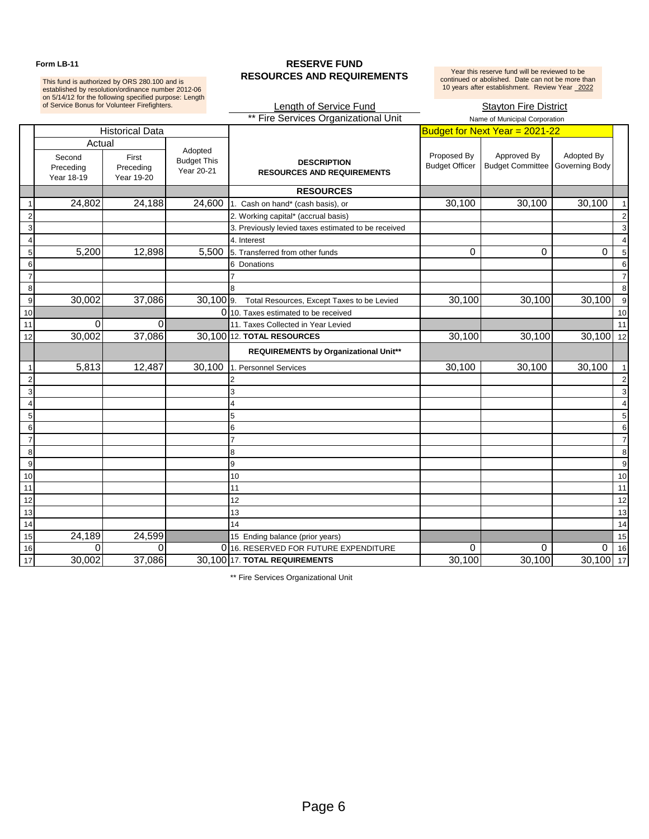This fund is authorized by ORS 280.100 and is<br>established by resolution/ordinance number 2012-06<br>on 5/14/12 for the following specified purpose: Length<br>of Service Bonus for Volunteer Firefighters.

### Form LB-11 **RESERVE FUND RESOURCES AND REQUIREMENTS**

Year this reserve fund will be reviewed to be<br>continued or abolished. Date can not be more than<br>10 years after establishment. Review Year 2022

# Length of Service Fund Stayton Fire District

|                |                                             |                                  |                                             | ** Fire Services Organizational Unit<br>Name of Municipal Corporation |                                      |                                        |                              |                |
|----------------|---------------------------------------------|----------------------------------|---------------------------------------------|-----------------------------------------------------------------------|--------------------------------------|----------------------------------------|------------------------------|----------------|
|                |                                             | <b>Historical Data</b>           |                                             |                                                                       |                                      | Budget for Next Year = 2021-22         |                              |                |
|                | Actual<br>Second<br>Preceding<br>Year 18-19 | First<br>Preceding<br>Year 19-20 | Adopted<br><b>Budget This</b><br>Year 20-21 | <b>DESCRIPTION</b><br><b>RESOURCES AND REQUIREMENTS</b>               | Proposed By<br><b>Budget Officer</b> | Approved By<br><b>Budget Committee</b> | Adopted By<br>Governing Body |                |
|                |                                             |                                  |                                             | <b>RESOURCES</b>                                                      |                                      |                                        |                              |                |
|                | 24,802                                      | 24,188                           | 24,600                                      | 1. Cash on hand* (cash basis), or                                     | 30,100                               | 30,100                                 | 30,100                       | $\mathbf{1}$   |
| 2              |                                             |                                  |                                             | 2. Working capital* (accrual basis)                                   |                                      |                                        |                              | $\overline{2}$ |
| 3              |                                             |                                  |                                             | 3. Previously levied taxes estimated to be received                   |                                      |                                        |                              | 3              |
| 4              |                                             |                                  |                                             | 4. Interest                                                           |                                      |                                        |                              | $\overline{4}$ |
| 5              | 5,200                                       | 12,898                           | 5,500                                       | 5. Transferred from other funds                                       | $\Omega$                             | $\Omega$                               | $\mathbf 0$                  | 5              |
| 6              |                                             |                                  |                                             | 6 Donations                                                           |                                      |                                        |                              | 6              |
| $\overline{7}$ |                                             |                                  |                                             |                                                                       |                                      |                                        |                              | $\overline{7}$ |
| 8              |                                             |                                  |                                             |                                                                       |                                      |                                        |                              | 8              |
| 9              | 30,002                                      | 37,086                           | $30,100$ 9.                                 | Total Resources, Except Taxes to be Levied                            | 30,100                               | 30,100                                 | 30,100                       | 9              |
| 10             |                                             |                                  |                                             | 0 10. Taxes estimated to be received                                  |                                      |                                        |                              | 10             |
| 11             | $\Omega$                                    | $\Omega$                         |                                             | 11. Taxes Collected in Year Levied                                    |                                      |                                        |                              | 11             |
| 12             | 30,002                                      | 37,086                           |                                             | 30,100 12. TOTAL RESOURCES                                            | 30,100                               | 30,100                                 | $30,100$ 12                  |                |
|                |                                             |                                  |                                             | <b>REQUIREMENTS by Organizational Unit**</b>                          |                                      |                                        |                              |                |
| $\mathbf 1$    | 5,813                                       | 12,487                           | 30,100                                      | 1. Personnel Services                                                 | 30,100                               | 30,100                                 | 30,100                       | $\overline{1}$ |
| $\overline{2}$ |                                             |                                  |                                             | $\overline{2}$                                                        |                                      |                                        |                              | $\overline{2}$ |
| 3              |                                             |                                  |                                             | 3                                                                     |                                      |                                        |                              | 3              |
| $\overline{4}$ |                                             |                                  |                                             | 4                                                                     |                                      |                                        |                              | $\overline{4}$ |
| 5              |                                             |                                  |                                             | 5                                                                     |                                      |                                        |                              | 5              |
| 6              |                                             |                                  |                                             | 6                                                                     |                                      |                                        |                              | 6              |
| $\overline{7}$ |                                             |                                  |                                             | 7                                                                     |                                      |                                        |                              | $\overline{7}$ |
| 8              |                                             |                                  |                                             | 8                                                                     |                                      |                                        |                              | 8              |
| 9              |                                             |                                  |                                             | 9                                                                     |                                      |                                        |                              | 9              |
| 10             |                                             |                                  |                                             | 10                                                                    |                                      |                                        |                              | 10             |
| 11             |                                             |                                  |                                             | 11                                                                    |                                      |                                        |                              | 11             |
| 12             |                                             |                                  |                                             | 12                                                                    |                                      |                                        |                              | 12             |
| 13             |                                             |                                  |                                             | 13                                                                    |                                      |                                        |                              | 13             |
| 14             |                                             |                                  |                                             | 14                                                                    |                                      |                                        |                              | 14             |
| 15             | 24,189                                      | 24,599                           |                                             | 15 Ending balance (prior years)                                       |                                      |                                        |                              | 15             |
| 16             | $\Omega$                                    | 0                                |                                             | 0 16. RESERVED FOR FUTURE EXPENDITURE                                 | 0                                    | 0                                      | $\mathbf 0$                  | 16             |
| 17             | 30,002                                      | 37,086                           |                                             | 30,100 17. TOTAL REQUIREMENTS                                         | 30,100                               | 30,100                                 | $30,100$ 17                  |                |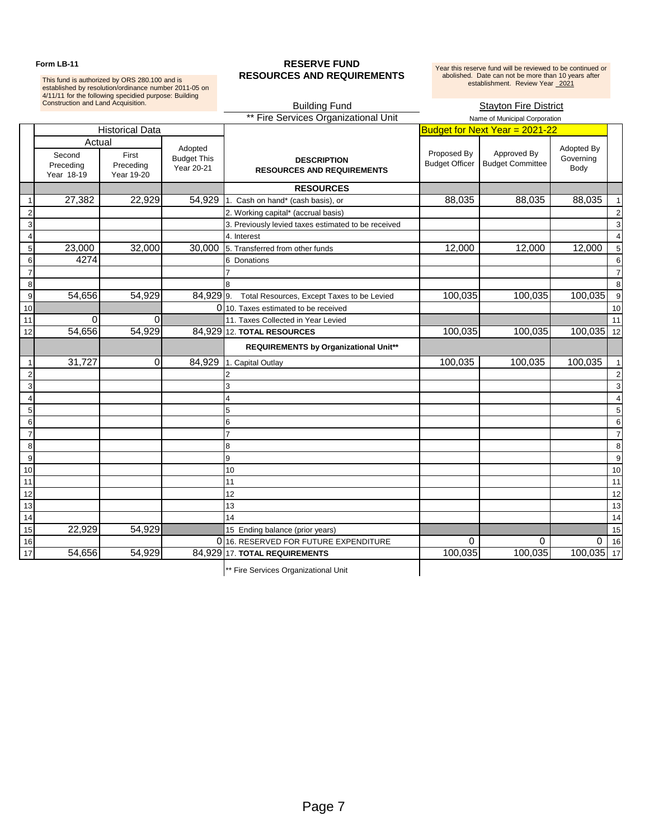This fund is authorized by ORS 280.100 and is established by resolution/ordinance number 2011-05 on 4/11/11 for the following specidied purpose: Building

### Form LB-11 **RESERVE FUND RESOURCES AND REQUIREMENTS**

Year this reserve fund will be reviewed to be continued or<br>abolished. Date can not be more than 10 years after<br>establishment. Review Year 2021

|                  | Construction and Land Acquisition.          |                                  | <b>Building Fund</b><br><b>Stayton Fire District</b> |                                                         |                                      |                                        |                                 |                |
|------------------|---------------------------------------------|----------------------------------|------------------------------------------------------|---------------------------------------------------------|--------------------------------------|----------------------------------------|---------------------------------|----------------|
|                  |                                             |                                  |                                                      | ** Fire Services Organizational Unit                    |                                      | Name of Municipal Corporation          |                                 |                |
|                  |                                             | <b>Historical Data</b>           |                                                      |                                                         |                                      | Budget for Next Year = 2021-22         |                                 |                |
|                  | Actual<br>Second<br>Preceding<br>Year 18-19 | First<br>Preceding<br>Year 19-20 | Adopted<br><b>Budget This</b><br>Year 20-21          | <b>DESCRIPTION</b><br><b>RESOURCES AND REQUIREMENTS</b> | Proposed By<br><b>Budget Officer</b> | Approved By<br><b>Budget Committee</b> | Adopted By<br>Governing<br>Body |                |
|                  |                                             |                                  |                                                      | <b>RESOURCES</b>                                        |                                      |                                        |                                 |                |
|                  | 27,382                                      | 22,929                           | 54,929                                               | 1. Cash on hand* (cash basis), or                       | 88,035                               | 88,035                                 | 88,035                          | $\mathbf 1$    |
|                  |                                             |                                  |                                                      | 2. Working capital* (accrual basis)                     |                                      |                                        |                                 | $\overline{2}$ |
| 3                |                                             |                                  |                                                      | 3. Previously levied taxes estimated to be received     |                                      |                                        |                                 | 3              |
| $\overline{4}$   |                                             |                                  |                                                      | 4. Interest                                             |                                      |                                        |                                 | $\overline{4}$ |
| 5                | 23,000                                      | 32,000                           | 30,000                                               | 5. Transferred from other funds                         | 12,000                               | 12,000                                 | 12,000                          | 5              |
| 6                | 4274                                        |                                  |                                                      | 6<br>Donations                                          |                                      |                                        |                                 | 6              |
| $\overline{7}$   |                                             |                                  |                                                      |                                                         |                                      |                                        |                                 | $\overline{7}$ |
| 8                |                                             |                                  |                                                      |                                                         |                                      |                                        |                                 | 8              |
| 9                | 54,656                                      | 54,929                           | $84,929$ 9.                                          | Total Resources, Except Taxes to be Levied              | 100,035                              | 100,035                                | 100,035                         | 9              |
| 10               |                                             |                                  |                                                      | 0110. Taxes estimated to be received                    |                                      |                                        |                                 | 10             |
| 11               | $\Omega$                                    | $\Omega$                         |                                                      | 11. Taxes Collected in Year Levied                      |                                      |                                        |                                 | 11             |
| 12               | 54,656                                      | 54,929                           |                                                      | 84,929 12. TOTAL RESOURCES                              | 100,035                              | 100,035                                | $100,035$ 12                    |                |
|                  |                                             |                                  |                                                      | REQUIREMENTS by Organizational Unit**                   |                                      |                                        |                                 |                |
|                  | 31,727                                      | $\mathbf 0$                      | 84,929                                               | 1. Capital Outlay                                       | 100,035                              | 100,035                                | 100,035                         | $\overline{1}$ |
| $\overline{c}$   |                                             |                                  |                                                      |                                                         |                                      |                                        |                                 | $\overline{2}$ |
| 3                |                                             |                                  |                                                      | 3                                                       |                                      |                                        |                                 | 3              |
| $\overline{4}$   |                                             |                                  |                                                      | 4                                                       |                                      |                                        |                                 | $\overline{4}$ |
| $\overline{5}$   |                                             |                                  |                                                      | 5                                                       |                                      |                                        |                                 | 5              |
| $\,6$            |                                             |                                  |                                                      | 6                                                       |                                      |                                        |                                 | 6              |
| $\overline{7}$   |                                             |                                  |                                                      | 7                                                       |                                      |                                        |                                 | $\overline{7}$ |
| 8                |                                             |                                  |                                                      | 8                                                       |                                      |                                        |                                 | 8              |
| $\boldsymbol{9}$ |                                             |                                  |                                                      | 9                                                       |                                      |                                        |                                 | 9              |
| 10               |                                             |                                  |                                                      | 10                                                      |                                      |                                        |                                 | 10             |
| 11               |                                             |                                  |                                                      | 11                                                      |                                      |                                        |                                 | 11             |
| 12               |                                             |                                  |                                                      | 12                                                      |                                      |                                        |                                 | 12             |
| 13               |                                             |                                  |                                                      | 13                                                      |                                      |                                        |                                 | 13             |
| 14               |                                             |                                  |                                                      | 14                                                      |                                      |                                        |                                 | 14             |
| 15               | 22,929                                      | 54,929                           |                                                      | 15 Ending balance (prior years)                         |                                      |                                        |                                 | 15             |
| 16               |                                             |                                  |                                                      | 0 16. RESERVED FOR FUTURE EXPENDITURE                   | $\Omega$                             | $\mathbf 0$                            | $\mathsf 0$                     | 16             |
| 17               | 54,656                                      | 54,929                           |                                                      | 84,929 17. TOTAL REQUIREMENTS                           | 100,035                              | 100,035                                | 100,035 17                      |                |
|                  |                                             |                                  |                                                      |                                                         |                                      |                                        |                                 |                |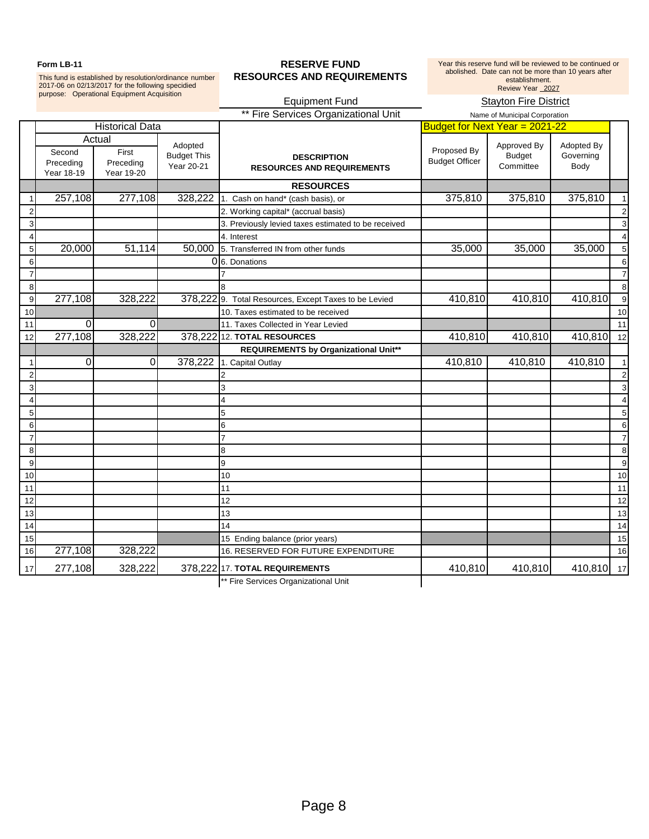This fund is established by resolution/ordinance number 2017-06 on 02/13/2017 for the following specidied purpose: Operational Equipment Acquisition

### Form LB-11 **RESERVE FUND RESOURCES AND REQUIREMENTS**

Year this reserve fund will be reviewed to be continued or abolished. Date can not be more than 10 years after establishment.<br>Review Year 2027

|                         |                                   |                                            |                                             | <b>Equipment Fund</b>                                   |                                      | <b>Stayton Fire District</b>              |                                 |                         |
|-------------------------|-----------------------------------|--------------------------------------------|---------------------------------------------|---------------------------------------------------------|--------------------------------------|-------------------------------------------|---------------------------------|-------------------------|
|                         |                                   |                                            |                                             | ** Fire Services Organizational Unit                    |                                      | Name of Municipal Corporation             |                                 |                         |
|                         |                                   | <b>Historical Data</b>                     |                                             |                                                         | Budget for Next Year = 2021-22       |                                           |                                 |                         |
|                         | Second<br>Preceding<br>Year 18-19 | Actual<br>First<br>Preceding<br>Year 19-20 | Adopted<br><b>Budget This</b><br>Year 20-21 | <b>DESCRIPTION</b><br><b>RESOURCES AND REQUIREMENTS</b> | Proposed By<br><b>Budget Officer</b> | Approved By<br><b>Budget</b><br>Committee | Adopted By<br>Governing<br>Body |                         |
|                         |                                   |                                            |                                             | <b>RESOURCES</b>                                        |                                      |                                           |                                 |                         |
|                         | 257,108                           | 277,108                                    | 328,222                                     | 1. Cash on hand* (cash basis), or                       | 375,810                              | 375,810                                   | 375,810                         | $\mathbf{1}$            |
| 2                       |                                   |                                            |                                             | 2. Working capital* (accrual basis)                     |                                      |                                           |                                 | $\overline{c}$          |
| 3                       |                                   |                                            |                                             | 3. Previously levied taxes estimated to be received     |                                      |                                           |                                 | 3                       |
| 4                       |                                   |                                            |                                             | 4. Interest                                             |                                      |                                           |                                 | $\overline{4}$          |
| 5                       | 20,000                            | 51,114                                     | 50,000                                      | 5. Transferred IN from other funds                      | 35,000                               | 35,000                                    | 35,000                          | 5                       |
| 6                       |                                   |                                            |                                             | 0 6. Donations                                          |                                      |                                           |                                 | 6                       |
| $\overline{7}$          |                                   |                                            |                                             |                                                         |                                      |                                           |                                 | 7                       |
| $\,8\,$                 |                                   |                                            |                                             |                                                         |                                      |                                           |                                 | 8                       |
| $\mathbf{9}$            | 277,108                           | 328,222                                    |                                             | 378,222 9. Total Resources, Except Taxes to be Levied   | 410,810                              | 410,810                                   | 410,810                         | 9                       |
| 10                      |                                   |                                            |                                             | 10. Taxes estimated to be received                      |                                      |                                           |                                 | 10                      |
| $11$                    | $\mathbf 0$                       | $\Omega$                                   |                                             | 11. Taxes Collected in Year Levied                      |                                      |                                           |                                 | 11                      |
| 12                      | 277,108                           | 328,222                                    |                                             | 378,222 12. TOTAL RESOURCES                             | 410,810                              | 410,810                                   | 410,810                         | 12                      |
|                         |                                   |                                            |                                             | <b>REQUIREMENTS by Organizational Unit**</b>            |                                      |                                           |                                 |                         |
| $\mathbf{1}$            | $\Omega$                          | $\Omega$                                   | 378,222                                     | 1. Capital Outlay                                       | 410,810                              | 410,810                                   | 410,810                         | $\mathbf{1}$            |
| $\overline{\mathbf{c}}$ |                                   |                                            |                                             |                                                         |                                      |                                           |                                 | $\overline{\mathbf{c}}$ |
| 3                       |                                   |                                            |                                             | 3                                                       |                                      |                                           |                                 | 3                       |
| 4                       |                                   |                                            |                                             |                                                         |                                      |                                           |                                 | 4                       |
| $\sqrt{5}$              |                                   |                                            |                                             | 5                                                       |                                      |                                           |                                 | 5                       |
| $\,6$                   |                                   |                                            |                                             | 6                                                       |                                      |                                           |                                 | 6                       |
| $\overline{7}$          |                                   |                                            |                                             |                                                         |                                      |                                           |                                 | $\overline{7}$          |
| $\,8\,$                 |                                   |                                            |                                             | 8                                                       |                                      |                                           |                                 | 8                       |
| $\overline{9}$          |                                   |                                            |                                             | 9                                                       |                                      |                                           |                                 | 9                       |
| 10                      |                                   |                                            |                                             | 10                                                      |                                      |                                           |                                 | 10                      |
| 11                      |                                   |                                            |                                             | 11                                                      |                                      |                                           |                                 | 11                      |
| 12                      |                                   |                                            |                                             | 12                                                      |                                      |                                           |                                 | 12                      |
| 13                      |                                   |                                            |                                             | 13                                                      |                                      |                                           |                                 | 13                      |
| 14                      |                                   |                                            |                                             | 14                                                      |                                      |                                           |                                 | 14                      |
| 15                      |                                   |                                            |                                             | 15 Ending balance (prior years)                         |                                      |                                           |                                 | 15                      |
| 16                      | 277,108                           | 328,222                                    |                                             | 16. RESERVED FOR FUTURE EXPENDITURE                     |                                      |                                           |                                 | 16                      |
| 17                      | 277,108                           | 328,222                                    |                                             | 378,222 17. TOTAL REQUIREMENTS                          | 410,810                              | 410,810                                   | 410,810                         | 17                      |
|                         |                                   |                                            |                                             | ** Fire Services Organizational Unit                    |                                      |                                           |                                 |                         |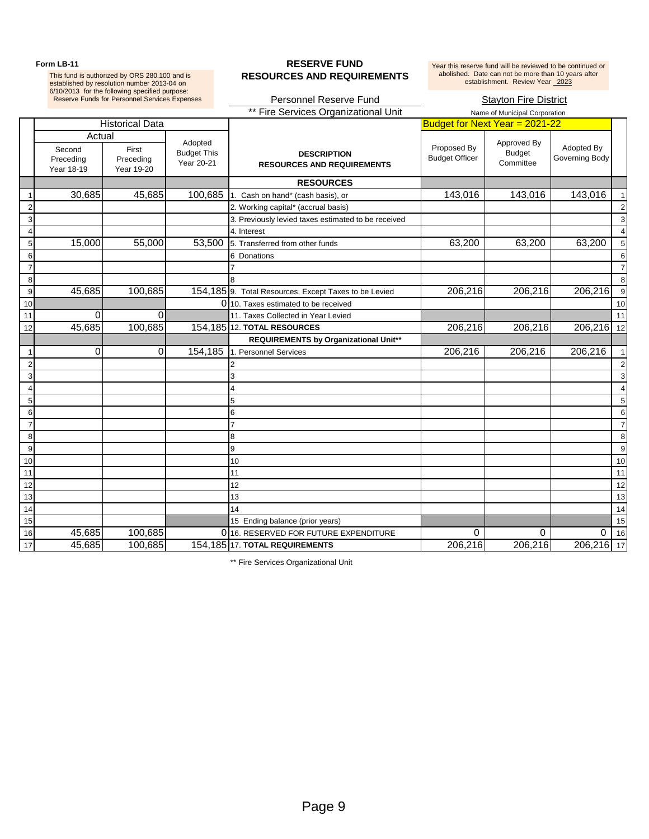This fund is authorized by ORS 280.100 and is established by resolution number 2013-04 on 6/10/2013 for the following specified purpose:

### Form LB-11 **RESERVE FUND RESOURCES AND REQUIREMENTS**

Year this reserve fund will be reviewed to be continued or<br>abolished. Date can not be more than 10 years after<br>establishment. Review Year 2023

|                         |                                             | <b>Reserve Funds for Personnel Services Expenses</b> |                                             | Personnel Reserve Fund<br><b>Stayton Fire District</b>  |                                      |                                           |                              |                |
|-------------------------|---------------------------------------------|------------------------------------------------------|---------------------------------------------|---------------------------------------------------------|--------------------------------------|-------------------------------------------|------------------------------|----------------|
|                         |                                             |                                                      |                                             | ** Fire Services Organizational Unit                    |                                      | Name of Municipal Corporation             |                              |                |
|                         |                                             | <b>Historical Data</b>                               |                                             |                                                         | Budget for Next Year = 2021-22       |                                           |                              |                |
|                         | Actual<br>Second<br>Preceding<br>Year 18-19 | First<br>Preceding<br>Year 19-20                     | Adopted<br><b>Budget This</b><br>Year 20-21 | <b>DESCRIPTION</b><br><b>RESOURCES AND REQUIREMENTS</b> | Proposed By<br><b>Budget Officer</b> | Approved By<br><b>Budget</b><br>Committee | Adopted By<br>Governing Body |                |
|                         |                                             |                                                      |                                             | <b>RESOURCES</b>                                        |                                      |                                           |                              |                |
|                         | 30,685                                      | 45,685                                               | 100,685                                     | 1. Cash on hand* (cash basis), or                       | 143,016                              | 143,016                                   | 143,016                      |                |
|                         |                                             |                                                      |                                             | 2. Working capital* (accrual basis)                     |                                      |                                           |                              |                |
| $\overline{3}$          |                                             |                                                      |                                             | 3. Previously levied taxes estimated to be received     |                                      |                                           |                              |                |
| $\overline{4}$          |                                             |                                                      |                                             | 4. Interest                                             |                                      |                                           |                              |                |
| $\overline{5}$          | 15,000                                      | 55,000                                               | 53,500                                      | 5. Transferred from other funds                         | 63,200                               | 63,200                                    | 63,200                       | $\epsilon$     |
| $\frac{6}{7}$           |                                             |                                                      |                                             | 6 Donations                                             |                                      |                                           |                              | $\epsilon$     |
|                         |                                             |                                                      |                                             |                                                         |                                      |                                           |                              | -7             |
| $\overline{\mathbf{8}}$ |                                             |                                                      |                                             |                                                         |                                      |                                           |                              | $\epsilon$     |
| $\overline{9}$          | 45,685                                      | 100,685                                              |                                             | 154, 185 9. Total Resources, Except Taxes to be Levied  | 206,216                              | 206,216                                   | 206,216                      | ્ડ             |
| $\frac{10}{11}$         |                                             |                                                      |                                             | 0 10. Taxes estimated to be received                    |                                      |                                           |                              | 1 <sup>1</sup> |
|                         | 0                                           | 0                                                    |                                             | 11. Taxes Collected in Year Levied                      |                                      |                                           |                              | 11             |
| $\overline{12}$         | 45,685                                      | 100,685                                              |                                             | 154,185 12. TOTAL RESOURCES                             | 206,216                              | 206,216                                   | 206,216 12                   |                |
|                         |                                             |                                                      |                                             | REQUIREMENTS by Organizational Unit**                   |                                      |                                           |                              |                |
| $\overline{1}$          | 0                                           | 0                                                    | 154,185                                     | 1. Personnel Services                                   | 206,216                              | 206,216                                   | 206,216                      |                |
| $\overline{c}$          |                                             |                                                      |                                             | 2                                                       |                                      |                                           |                              |                |
| $\mathbf{3}$            |                                             |                                                      |                                             | 3                                                       |                                      |                                           |                              | é              |
| $\overline{4}$          |                                             |                                                      |                                             | 4                                                       |                                      |                                           |                              |                |
| $\sqrt{5}$              |                                             |                                                      |                                             | 5                                                       |                                      |                                           |                              | 5              |
| $\,6\,$                 |                                             |                                                      |                                             | 6                                                       |                                      |                                           |                              | $\epsilon$     |
| $\overline{7}$          |                                             |                                                      |                                             |                                                         |                                      |                                           |                              | $\overline{7}$ |
| $\overline{8}$          |                                             |                                                      |                                             | 8                                                       |                                      |                                           |                              | ξ              |
| $\overline{9}$          |                                             |                                                      |                                             | 9                                                       |                                      |                                           |                              | c)             |
| 10                      |                                             |                                                      |                                             | 10                                                      |                                      |                                           |                              | 10             |
| 11                      |                                             |                                                      |                                             | 11                                                      |                                      |                                           |                              | 11             |
| 12                      |                                             |                                                      |                                             | 12                                                      |                                      |                                           |                              | 12             |
| 13                      |                                             |                                                      |                                             | 13                                                      |                                      |                                           |                              | 13             |
| 14                      |                                             |                                                      |                                             | 14                                                      |                                      |                                           |                              | 14             |
| 15                      |                                             |                                                      |                                             | 15 Ending balance (prior years)                         |                                      |                                           |                              | 15             |
| 16                      | 45,685                                      | 100,685                                              |                                             | 0 16. RESERVED FOR FUTURE EXPENDITURE                   | 0                                    | 0                                         | 0                            | 16             |
| 17                      | 45,685                                      | 100,685                                              |                                             | 154,185 17. TOTAL REQUIREMENTS                          | 206,216                              | 206,216                                   | 206,216 17                   |                |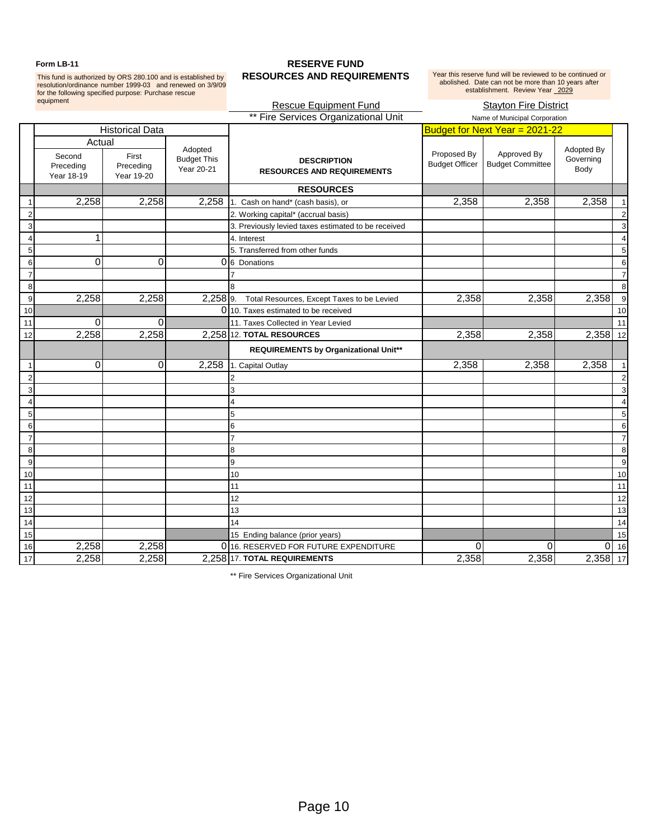This fund is authorized by ORS 280.100 and is established by resolution/ordinance number 1999-03 and renewed on 3/9/09 for the following specified purpose: Purchase rescue equipment

### Form LB-11 **RESERVE FUND RESOURCES AND REQUIREMENTS**

Year this reserve fund will be reviewed to be continued or abolished. Date can not be more than 10 years after establishment. Review Year 2029

### **Rescue Equipment Fund Stayton Fire District** \*\* Fire Services Organizational Unit Name of Municipal Corporation Historical Data **Budget for Next Year = 2021-22** Actual Second Preceding Year 18-19 First Preceding Year 19-20 **DESCRIPTION RESOURCES AND REQUIREMENTS RESOURCES** 2,258 2,258 2,258 1. Cash on hand\* (cash basis), or 2,358 2,358 2,358 2,358 2,358 2 2. Working capital\* (accrual basis) 2 3 3. Previously levied taxes estimated to be received 3 4 1 4. Interest 4 5 **5.** Transferred from other funds **5.** Transferred from other funds **5.** Transferred from other funds **5. 5** 6 0 0 0 6 Donations 6 7 7 7 8 8 8 9 2,258 2,258 2,258 9. Total Resources, Except Taxes to be Levied 2,358 2,358 2,358 9 10 10 10. Taxes estimated to be received 11 10 10 10. Taxes estimated to be received 11 10 10 10 11 11 12 11 1 0 0 0 11. Taxes Collected in Year Levied 2.258 2,358 2,358 2,358 2,358 2,358 2,358 2,358 12 2,258 2,258 2,258 12. **TOTAL RESOURCES** 2,358 2,358 2,358 12 **REQUIREMENTS by Organizational Unit\*\*** 1 0 0 0 2,258 1. Capital Outlay 2,358 2,358 2,358 2,358 1 2 2 2 3 3 3 4 4 4 5 5 5 6 6 6 7 7 7 8 8 8 Adopted Budget This Year 20-21 Proposed By Budget Officer Approved By Budget Committee Adopted By Governing Body

9 9 9 10 10 10 11 11 11 12 12 12 13 13 13 14 14 14 15 **15 Contract Contract Contract Contract Contract Contract Contract Contract Contract Contract Contract Contract Contract Contract Contract Contract Contract Contract Contract Contract Contract Contract Contract Contract** 16 2,258 2,258 0 16. RESERVED FOR FUTURE EXPENDITURE 0 0 0 0 0 16

17 2,258 2,258 2,258 17. **TOTAL REQUIREMENTS** 2,358 2,358 2,358 17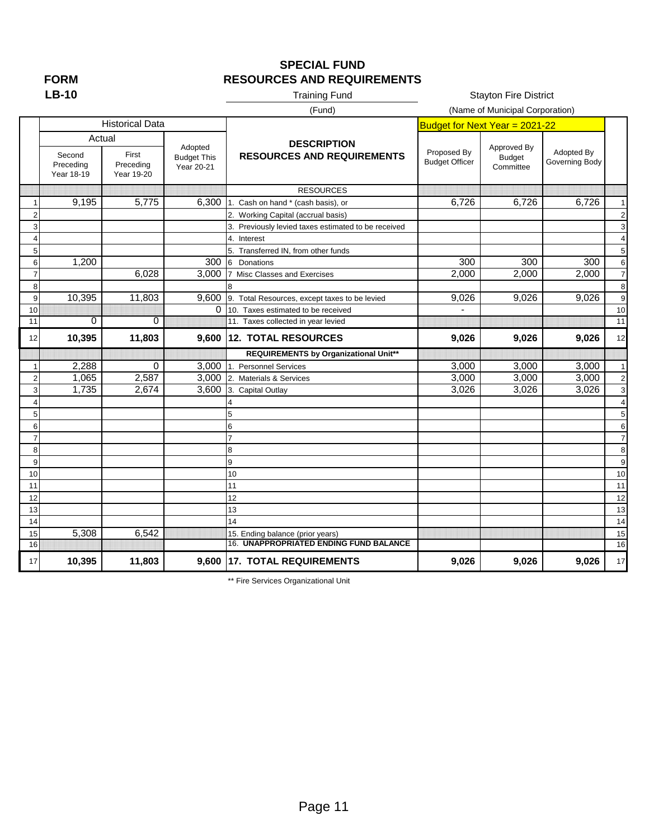# **FORM**

## **SPECIAL FUND RESOURCES AND REQUIREMENTS**

# Training Fund

**Stayton Fire District** 

|                |                                             |                                  |                                             | (Fund)                                                  |                                      | (Name of Municipal Corporation)           |                              |                         |
|----------------|---------------------------------------------|----------------------------------|---------------------------------------------|---------------------------------------------------------|--------------------------------------|-------------------------------------------|------------------------------|-------------------------|
|                |                                             | <b>Historical Data</b>           |                                             |                                                         | Budget for Next Year = 2021-22       |                                           |                              |                         |
|                | Actual<br>Second<br>Preceding<br>Year 18-19 | First<br>Preceding<br>Year 19-20 | Adopted<br><b>Budget This</b><br>Year 20-21 | <b>DESCRIPTION</b><br><b>RESOURCES AND REQUIREMENTS</b> | Proposed By<br><b>Budget Officer</b> | Approved By<br><b>Budget</b><br>Committee | Adopted By<br>Governing Body |                         |
|                |                                             |                                  |                                             | <b>RESOURCES</b>                                        |                                      |                                           |                              |                         |
| 1              | 9,195                                       | 5,775                            | 6.300                                       | 1. Cash on hand * (cash basis), or                      | 6.726                                | 6.726                                     | 6,726                        | $\overline{1}$          |
| 2              |                                             |                                  |                                             | 2. Working Capital (accrual basis)                      |                                      |                                           |                              | $\overline{\mathbf{c}}$ |
| 3              |                                             |                                  |                                             | 3. Previously levied taxes estimated to be received     |                                      |                                           |                              | 3                       |
| 4              |                                             |                                  |                                             | 4. Interest                                             |                                      |                                           |                              | $\overline{\mathbf{4}}$ |
| 5              |                                             |                                  |                                             | 5. Transferred IN, from other funds                     |                                      |                                           |                              | 5                       |
| 6              | 1,200                                       |                                  | 300                                         | Donations<br>6                                          | 300                                  | 300                                       | 300                          | 6                       |
| $\overline{7}$ |                                             | 6,028                            | 3,000                                       | 7 Misc Classes and Exercises                            | 2,000                                | 2,000                                     | 2,000                        | $\overline{7}$          |
| 8              |                                             |                                  |                                             |                                                         |                                      |                                           |                              | 8                       |
| 9              | 10,395                                      | 11,803                           | 9,600                                       | 9. Total Resources, except taxes to be levied           | 9,026                                | 9,026                                     | 9,026                        | 9                       |
| 10             |                                             |                                  | 0                                           | 10. Taxes estimated to be received                      |                                      |                                           |                              | 10                      |
| 11             | $\overline{0}$                              | $\Omega$                         |                                             | 11. Taxes collected in year levied                      |                                      |                                           |                              | 11                      |
| 12             | 10,395                                      | 11,803                           | 9,600                                       | 12. TOTAL RESOURCES                                     | 9,026                                | 9,026                                     | 9,026                        | 12                      |
|                |                                             |                                  |                                             | REQUIREMENTS by Organizational Unit**                   |                                      |                                           |                              |                         |
| 1              | 2,288                                       | 0                                | 3,000                                       | 1. Personnel Services                                   | 3,000                                | 3,000                                     | 3,000                        | $\overline{1}$          |
| $\overline{2}$ | 1,065                                       | 2,587                            | 3,000                                       | 2. Materials & Services                                 | 3,000                                | 3,000                                     | 3,000                        | $\overline{c}$          |
| 3              | 1,735                                       | 2,674                            | 3,600                                       | 3. Capital Outlay                                       | 3,026                                | 3,026                                     | 3,026                        | 3                       |
| Δ              |                                             |                                  |                                             |                                                         |                                      |                                           |                              | $\overline{4}$          |
| 5              |                                             |                                  |                                             |                                                         |                                      |                                           |                              | 5                       |
| 6              |                                             |                                  |                                             | 6                                                       |                                      |                                           |                              | 6                       |
| $\overline{7}$ |                                             |                                  |                                             |                                                         |                                      |                                           |                              | $\overline{7}$          |
| 8              |                                             |                                  |                                             | 8                                                       |                                      |                                           |                              | 8                       |
| 9              |                                             |                                  |                                             | 9                                                       |                                      |                                           |                              | 9                       |
| 10             |                                             |                                  |                                             | 10                                                      |                                      |                                           |                              | 10                      |
| 11             |                                             |                                  |                                             | 11                                                      |                                      |                                           |                              | 11                      |
| 12             |                                             |                                  |                                             | 12                                                      |                                      |                                           |                              | 12                      |
| 13             |                                             |                                  |                                             | 13                                                      |                                      |                                           |                              | 13                      |
| 14             |                                             |                                  |                                             | 14                                                      |                                      |                                           |                              | 14                      |
| 15             | 5,308                                       | 6,542                            |                                             | 15. Ending balance (prior years)                        |                                      |                                           |                              | 15                      |
| 16             |                                             |                                  |                                             | 16. UNAPPROPRIATED ENDING FUND BALANCE                  |                                      |                                           |                              | 16                      |
| 17             | 10,395                                      | 11,803                           |                                             | 9,600 17. TOTAL REQUIREMENTS                            | 9,026                                | 9,026                                     | 9,026                        | 17                      |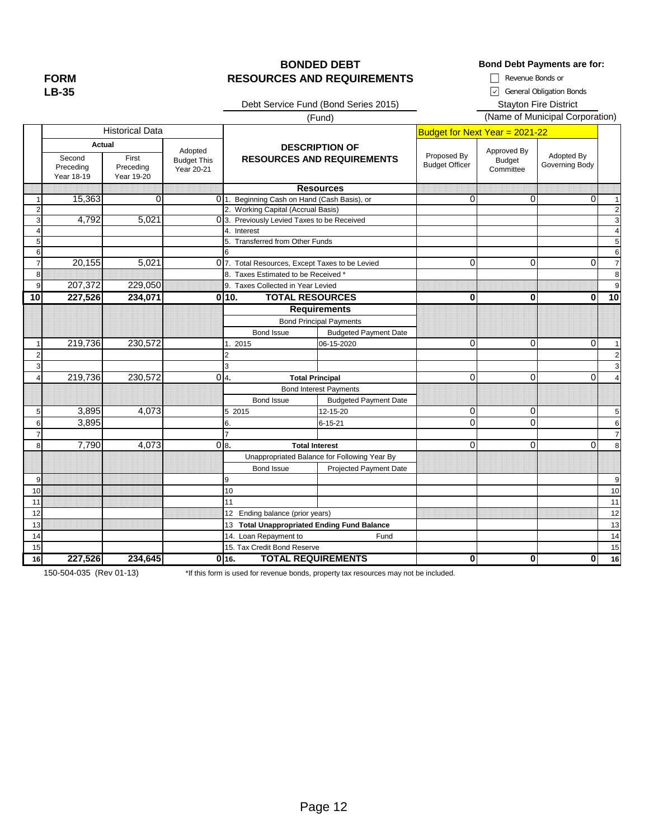**FORM LB-35**

### **BONDED DEBT Bond Debt Payments are for: RESOURCES AND REQUIREMENTS**  $\Box$  Revenue Bonds or

General Obligation Bonds

Debt Service Fund (Bond Series 2015) Stayton Fire District

Budget for Next Year = 2021-22 1 15,363 0 0 0 1. Beginning Cash on Hand (Cash Basis), or 0 0 0 0 0 1 2 2 2. Working Capital (Accrual Basis) 3 4,792 5,021 0 3 3. Previously Levied Taxes to be Received 4 4 Interest 2 4 Interest 2 4 A Interest 2 4 A Interest 2 4 A Interest 2 4 A Interest 2 4 A Interest 2 4 A Interest 5 5 5. Transferred from Other Funds 6 6 7 20,155 5,021 0 07. Total Resources, Except Taxes to be Levied 1 0 0 0 0 0 1 8 8 8. Taxes Estimated to be Received \* 9 207,372 229,050 9. Taxes Collected in Year Levied **10 227,526 234,071 0 0 0 0 10 10. TOTAL RESOURCES** Bond Issue Budgeted Payment Date 1 219,736 230,572 1. 2015 06-15-2020 1. 0 0 0 0 1 2 2 2 3 3 3 4 219,736 230,572 0|4. Total Principal 0| 0| 0| Bond Issue Budgeted Payment Date 5 3,895 4,073 5 2015 12-15-20 9 0 0 5 6 3,895 6. 6. 6-15-21 0 0 0 6. 7 7 7 8 7,790 4,073 0 8. Total Interest 0 0 0 8 Bond Issue **Projected Payment Date** 9 9 9 10 10 10 11 11 11 12 Inding balance (prior years) and the contract of the contract of the contract of the contract of the contract of the contract of the contract of the contract of the contract of the contract of the contract of the contra 13 13 13 **Total Unappropriated Ending Fund Balance** 14 14 14. Loan Repayment to Fund Bond Principal Payments 4**. Total Principal** Bond Interest Payments 8**. Total Interest** Unappropriated Balance for Following Year By **Requirements** 6 Proposed By Budget Officer Approved By .<br>Budget **Committee** Adopted By Governing Body Second Preceding Year 18-19 First Preceding Year 19-20 **Resources** 4. Interest (Fund) (Name of Municipal Corporation) Historical Data **DESCRIPTION OF RESOURCES AND REQUIREMENTS Actual** Adopted Budget This Year 20-21

150-504-035 (Rev 01-13)

**16 227,526 234,645 0 0 0 0 16 16. TOTAL REQUIREMENTS** \*If this form is used for revenue bonds, property tax resources may not be included.

15 | International Letter Management of the United States of the United States of the United States of the United States of the United States of the United States of the United States of the United States of the United Sta